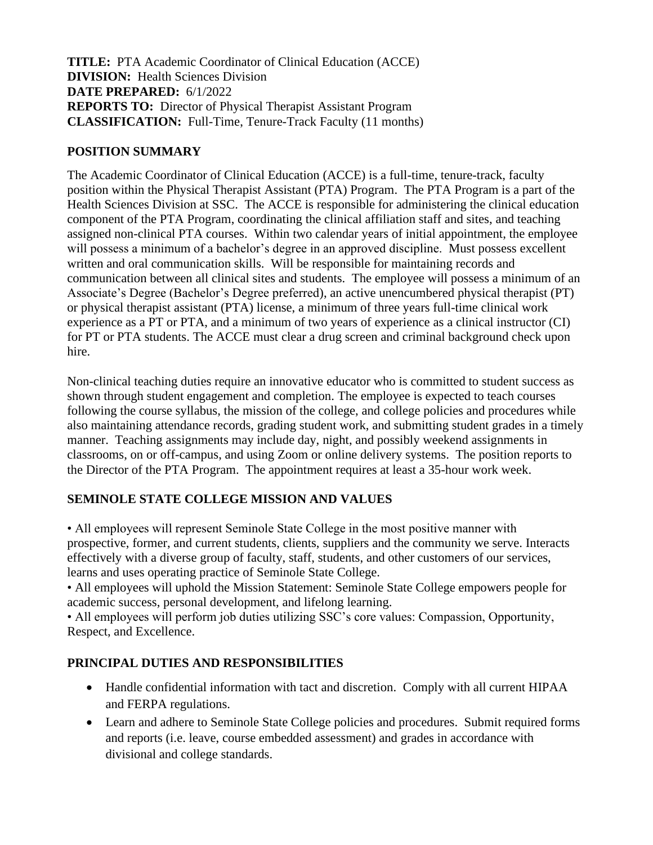**TITLE:** PTA Academic Coordinator of Clinical Education (ACCE) **DIVISION:** Health Sciences Division **DATE PREPARED:** 6/1/2022 **REPORTS TO:** Director of Physical Therapist Assistant Program **CLASSIFICATION:** Full-Time, Tenure-Track Faculty (11 months)

#### **POSITION SUMMARY**

The Academic Coordinator of Clinical Education (ACCE) is a full-time, tenure-track, faculty position within the Physical Therapist Assistant (PTA) Program. The PTA Program is a part of the Health Sciences Division at SSC. The ACCE is responsible for administering the clinical education component of the PTA Program, coordinating the clinical affiliation staff and sites, and teaching assigned non-clinical PTA courses. Within two calendar years of initial appointment, the employee will possess a minimum of a bachelor's degree in an approved discipline. Must possess excellent written and oral communication skills. Will be responsible for maintaining records and communication between all clinical sites and students. The employee will possess a minimum of an Associate's Degree (Bachelor's Degree preferred), an active unencumbered physical therapist (PT) or physical therapist assistant (PTA) license, a minimum of three years full-time clinical work experience as a PT or PTA, and a minimum of two years of experience as a clinical instructor (CI) for PT or PTA students. The ACCE must clear a drug screen and criminal background check upon hire.

Non-clinical teaching duties require an innovative educator who is committed to student success as shown through student engagement and completion. The employee is expected to teach courses following the course syllabus, the mission of the college, and college policies and procedures while also maintaining attendance records, grading student work, and submitting student grades in a timely manner. Teaching assignments may include day, night, and possibly weekend assignments in classrooms, on or off-campus, and using Zoom or online delivery systems. The position reports to the Director of the PTA Program. The appointment requires at least a 35-hour work week.

#### **SEMINOLE STATE COLLEGE MISSION AND VALUES**

• All employees will represent Seminole State College in the most positive manner with prospective, former, and current students, clients, suppliers and the community we serve. Interacts effectively with a diverse group of faculty, staff, students, and other customers of our services, learns and uses operating practice of Seminole State College.

• All employees will uphold the Mission Statement: Seminole State College empowers people for academic success, personal development, and lifelong learning.

• All employees will perform job duties utilizing SSC's core values: Compassion, Opportunity, Respect, and Excellence.

# **PRINCIPAL DUTIES AND RESPONSIBILITIES**

- Handle confidential information with tact and discretion. Comply with all current HIPAA and FERPA regulations.
- Learn and adhere to Seminole State College policies and procedures. Submit required forms and reports (i.e. leave, course embedded assessment) and grades in accordance with divisional and college standards.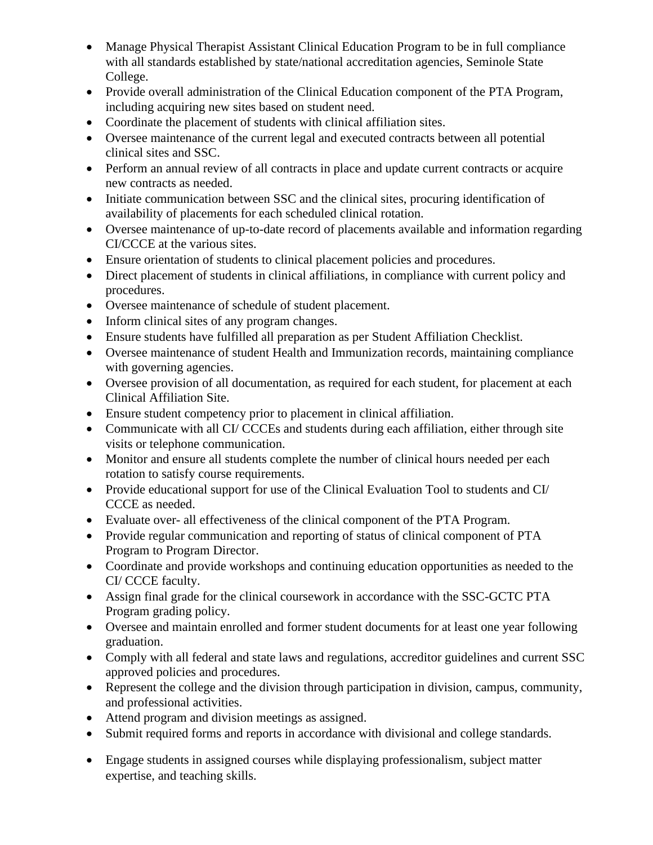- Manage Physical Therapist Assistant Clinical Education Program to be in full compliance with all standards established by state/national accreditation agencies, Seminole State College.
- Provide overall administration of the Clinical Education component of the PTA Program, including acquiring new sites based on student need.
- Coordinate the placement of students with clinical affiliation sites.
- Oversee maintenance of the current legal and executed contracts between all potential clinical sites and SSC.
- Perform an annual review of all contracts in place and update current contracts or acquire new contracts as needed.
- Initiate communication between SSC and the clinical sites, procuring identification of availability of placements for each scheduled clinical rotation.
- Oversee maintenance of up-to-date record of placements available and information regarding CI/CCCE at the various sites.
- Ensure orientation of students to clinical placement policies and procedures.
- Direct placement of students in clinical affiliations, in compliance with current policy and procedures.
- Oversee maintenance of schedule of student placement.
- Inform clinical sites of any program changes.
- Ensure students have fulfilled all preparation as per Student Affiliation Checklist.
- Oversee maintenance of student Health and Immunization records, maintaining compliance with governing agencies.
- Oversee provision of all documentation, as required for each student, for placement at each Clinical Affiliation Site.
- Ensure student competency prior to placement in clinical affiliation.
- Communicate with all CI/ CCCEs and students during each affiliation, either through site visits or telephone communication.
- Monitor and ensure all students complete the number of clinical hours needed per each rotation to satisfy course requirements.
- Provide educational support for use of the Clinical Evaluation Tool to students and CI/ CCCE as needed.
- Evaluate over- all effectiveness of the clinical component of the PTA Program.
- Provide regular communication and reporting of status of clinical component of PTA Program to Program Director.
- Coordinate and provide workshops and continuing education opportunities as needed to the CI/ CCCE faculty.
- Assign final grade for the clinical coursework in accordance with the SSC-GCTC PTA Program grading policy.
- Oversee and maintain enrolled and former student documents for at least one year following graduation.
- Comply with all federal and state laws and regulations, accreditor guidelines and current SSC approved policies and procedures.
- Represent the college and the division through participation in division, campus, community, and professional activities.
- Attend program and division meetings as assigned.
- Submit required forms and reports in accordance with divisional and college standards.
- Engage students in assigned courses while displaying professionalism, subject matter expertise, and teaching skills.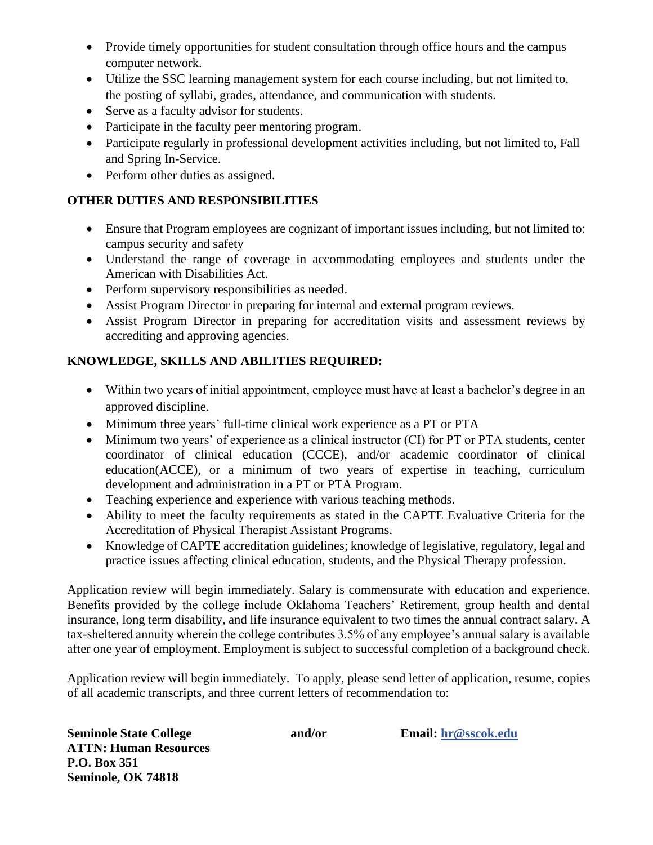- Provide timely opportunities for student consultation through office hours and the campus computer network.
- Utilize the SSC learning management system for each course including, but not limited to, the posting of syllabi, grades, attendance, and communication with students.
- Serve as a faculty advisor for students.
- Participate in the faculty peer mentoring program.
- Participate regularly in professional development activities including, but not limited to, Fall and Spring In-Service.
- Perform other duties as assigned.

### **OTHER DUTIES AND RESPONSIBILITIES**

- Ensure that Program employees are cognizant of important issues including, but not limited to: campus security and safety
- Understand the range of coverage in accommodating employees and students under the American with Disabilities Act.
- Perform supervisory responsibilities as needed.
- Assist Program Director in preparing for internal and external program reviews.
- Assist Program Director in preparing for accreditation visits and assessment reviews by accrediting and approving agencies.

# **KNOWLEDGE, SKILLS AND ABILITIES REQUIRED:**

- Within two years of initial appointment, employee must have at least a bachelor's degree in an approved discipline.
- Minimum three years' full-time clinical work experience as a PT or PTA
- Minimum two years' of experience as a clinical instructor (CI) for PT or PTA students, center coordinator of clinical education (CCCE), and/or academic coordinator of clinical education(ACCE), or a minimum of two years of expertise in teaching, curriculum development and administration in a PT or PTA Program.
- Teaching experience and experience with various teaching methods.
- Ability to meet the faculty requirements as stated in the CAPTE Evaluative Criteria for the Accreditation of Physical Therapist Assistant Programs.
- Knowledge of CAPTE accreditation guidelines; knowledge of legislative, regulatory, legal and practice issues affecting clinical education, students, and the Physical Therapy profession.

Application review will begin immediately. Salary is commensurate with education and experience. Benefits provided by the college include Oklahoma Teachers' Retirement, group health and dental insurance, long term disability, and life insurance equivalent to two times the annual contract salary. A tax-sheltered annuity wherein the college contributes 3.5% of any employee's annual salary is available after one year of employment. Employment is subject to successful completion of a background check.

Application review will begin immediately. To apply, please send letter of application, resume, copies of all academic transcripts, and three current letters of recommendation to:

| <b>Seminole State College</b> | and/or | Email: hr@sscok.edu |
|-------------------------------|--------|---------------------|
| <b>ATTN: Human Resources</b>  |        |                     |
| P.O. Box 351                  |        |                     |
| Seminole, OK 74818            |        |                     |